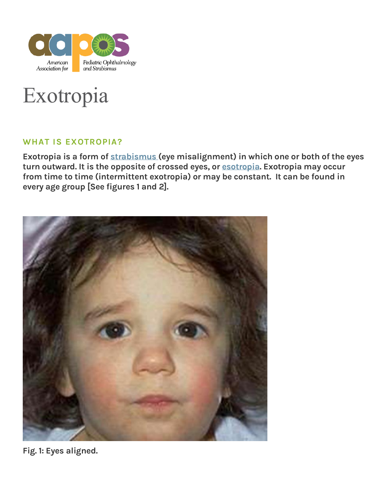

# Exotropia

#### **WHAT IS EXOTROPIA?**

Exotropia is a form of [strabismus](https://aapos.org/glossary/strabismus) (eye misalignment) in which one or both of the eyes turn outward. It is the opposite of crossed eyes, or [esotropia.](https://aapos.org/glossary/esotropia) Exotropia may occur from time to time (intermittent exotropia) or may be constant. It can be found in every age group [See figures 1 and 2].



**Fig. 1:** Eyes aligned.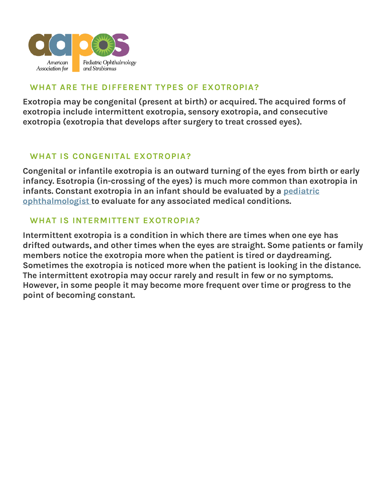

## **WHAT ARE THE DIFFERENT TYPES OF EXOTROPIA?**

Exotropia may be congenital (present at birth) or acquired. The acquired forms of exotropia include intermittent exotropia, sensory exotropia, and consecutive exotropia (exotropia that develops after surgery to treat crossed eyes).

## **WHAT IS CONGENITAL EXOTROPIA?**

Congenital or infantile exotropia is an outward turning of the eyes from birth or early infancy. Esotropia (in-crossing of the eyes) is much more common than exotropia in infants. Constant exotropia in an infant should be evaluated by a pediatric [ophthalmologist](https://aapos.org/glossary/pediatric-ophthalmologist) to evaluate for any associated medical conditions.

#### **WHAT IS INTERMITTENT EXOTROPIA?**

Intermittent exotropia is a condition in which there are times when one eye has drifted outwards, and other times when the eyes are straight. Some patients or family members notice the exotropia more when the patient is tired or daydreaming. Sometimes the exotropia is noticed more when the patient is looking in the distance. The intermittent exotropia may occur rarely and result in few or no symptoms. However, in some people it may become more frequent over time or progress to the point of becoming constant.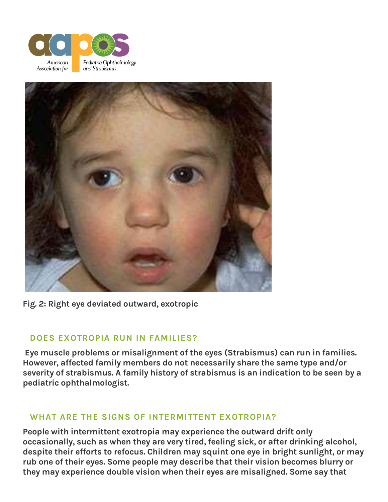



**Fig. 2:** Right eye deviated outward, exotropic

#### **DOES EXOTROPIA RUN IN FAMILIES?**

Eye muscle problems or misalignment of the eyes (Strabismus) can run in families. However, affected family members do not necessarily share the same type and/or severity of strabismus. A family history of strabismus is an indication to be seen by a pediatric ophthalmologist.

#### **WHAT ARE THE SIGNS OF INTERMITTENT EXOTROPIA?**

People with intermittent exotropia may experience the outward drift only occasionally, such as when they are very tired, feeling sick, or after drinking alcohol, despite their efforts to refocus. Children may squint one eye in bright sunlight, or may rub one of their eyes. Some people may describe that their vision becomes blurry or they may experience double vision when their eyes are misaligned. Some say that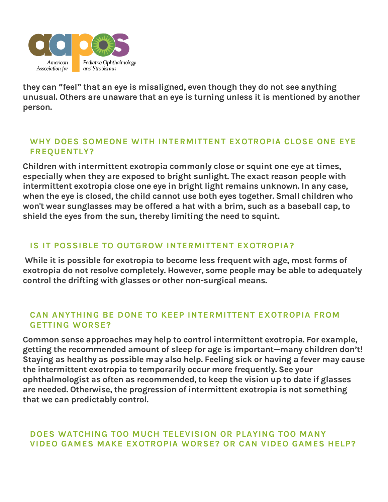

they can "feel" that an eye is misaligned, even though they do not see anything unusual. Others are unaware that an eye is turning unless it is mentioned by another person.

#### **WHY DOES SOMEONE WITH INTERMITTENT EXOTROPIA CLOSE ONE EYE FREQUENTLY?**

Children with intermittent exotropia commonly close or squint one eye at times, especially when they are exposed to bright sunlight. The exact reason people with intermittent exotropia close one eye in bright light remains unknown. In any case, when the eye is closed, the child cannot use both eyes together. Small children who won't wear sunglasses may be offered a hat with a brim, such as a baseball cap, to shield the eyes from the sun, thereby limiting the need to squint.

#### **IS IT POSSIBLE TO OUTGROW INTERMITTENT EXOTROPIA?**

While it is possible for exotropia to become less frequent with age, most forms of exotropia do not resolve completely. However, some people may be able to adequately control the drifting with glasses or other non-surgical means.

#### **CAN ANYTHING BE DONE TO KEEP INTERMITTENT EXOTROPIA FROM GETTING WORSE?**

Common sense approaches may help to control intermittent exotropia. For example, getting the recommended amount of sleep for age is important—many children don't! Staying as healthy as possible may also help. Feeling sick or having a fever may cause the intermittent exotropia to temporarily occur more frequently. See your ophthalmologist as often as recommended, to keep the vision up to date if glasses are needed. Otherwise, the progression of intermittent exotropia is not something that we can predictably control.

#### **DOES WATCHING TOO MUCH TELEVISION OR PLAYING TOO MANY VIDEO GAMES MAKE EXOTROPIA WORSE? OR CAN VIDEO GAMES HELP?**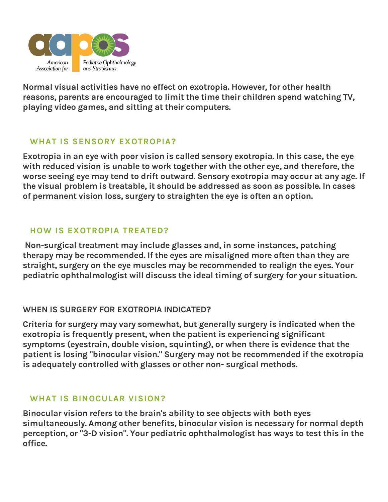

Normal visual activities have no effect on exotropia. However, for other health reasons, parents are encouraged to limit the time their children spend watching TV, playing video games, and sitting at their computers.

## **WHAT IS SENSORY EXOTROPIA?**

Exotropia in an eye with poor vision is called sensory exotropia. In this case, the eye with reduced vision is unable to work together with the other eye, and therefore, the worse seeing eye may tend to drift outward. Sensory exotropia may occur at any age. If the visual problem is treatable, it should be addressed as soon as possible. In cases of permanent vision loss, surgery to straighten the eye is often an option.

#### **HOW IS EXOTROPIA TREATED?**

Non-surgical treatment may include glasses and, in some instances, patching therapy may be recommended. If the eyes are misaligned more often than they are straight, surgery on the eye muscles may be recommended to realign the eyes. Your pediatric ophthalmologist will discuss the ideal timing of surgery for your situation.

#### **WHEN IS SURGERY FOR EXOTROPIA INDICATED?**

Criteria for surgery may vary somewhat, but generally surgery is indicated when the exotropia is frequently present, when the patient is experiencing significant symptoms (eyestrain, double vision, squinting), or when there is evidence that the patient is losing "binocular vision." Surgery may not be recommended if the exotropia is adequately controlled with glasses or other non- surgical methods.

#### **WHAT IS BINOCULAR VISION?**

Binocular vision refers to the brain's ability to see objects with both eyes simultaneously. Among other benefits, binocular vision is necessary for normal depth perception, or "3-D vision". Your pediatric ophthalmologist has ways to test this in the office.